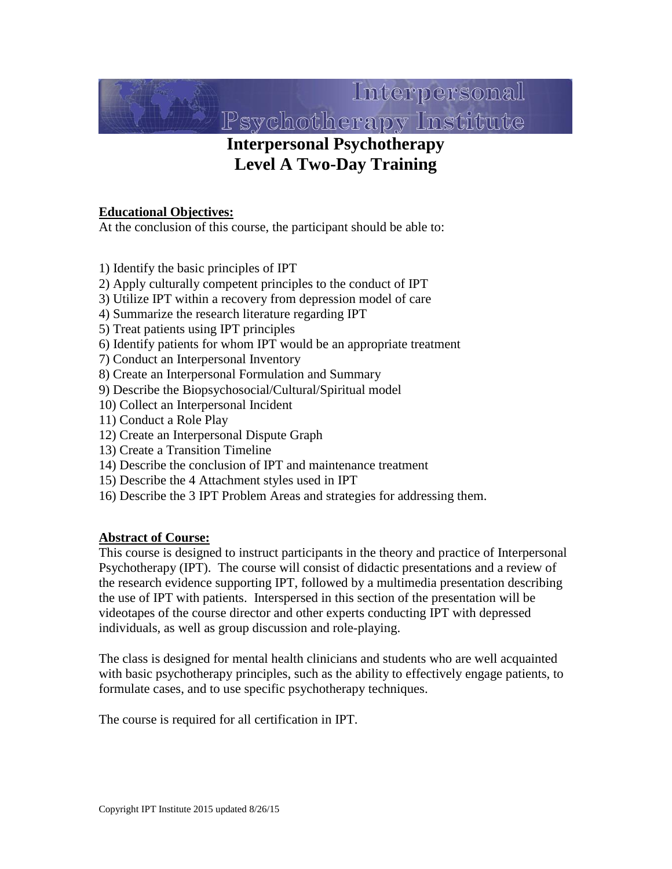

# **Interpersonal Psychotherapy Level A Two-Day Training**

#### **Educational Objectives:**

At the conclusion of this course, the participant should be able to:

1) Identify the basic principles of IPT

- 2) Apply culturally competent principles to the conduct of IPT
- 3) Utilize IPT within a recovery from depression model of care
- 4) Summarize the research literature regarding IPT
- 5) Treat patients using IPT principles
- 6) Identify patients for whom IPT would be an appropriate treatment
- 7) Conduct an Interpersonal Inventory
- 8) Create an Interpersonal Formulation and Summary
- 9) Describe the Biopsychosocial/Cultural/Spiritual model
- 10) Collect an Interpersonal Incident
- 11) Conduct a Role Play
- 12) Create an Interpersonal Dispute Graph
- 13) Create a Transition Timeline
- 14) Describe the conclusion of IPT and maintenance treatment
- 15) Describe the 4 Attachment styles used in IPT
- 16) Describe the 3 IPT Problem Areas and strategies for addressing them.

#### **Abstract of Course:**

This course is designed to instruct participants in the theory and practice of Interpersonal Psychotherapy (IPT). The course will consist of didactic presentations and a review of the research evidence supporting IPT, followed by a multimedia presentation describing the use of IPT with patients. Interspersed in this section of the presentation will be videotapes of the course director and other experts conducting IPT with depressed individuals, as well as group discussion and role-playing.

The class is designed for mental health clinicians and students who are well acquainted with basic psychotherapy principles, such as the ability to effectively engage patients, to formulate cases, and to use specific psychotherapy techniques.

The course is required for all certification in IPT.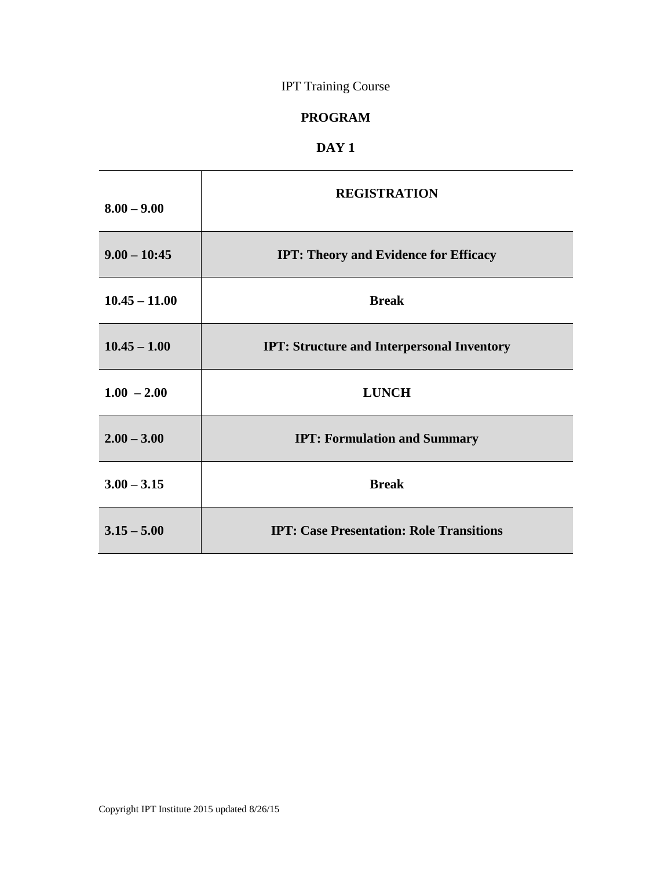# IPT Training Course

### **PROGRAM**

### **DAY 1**

| $8.00 - 9.00$   | <b>REGISTRATION</b>                               |
|-----------------|---------------------------------------------------|
| $9.00 - 10:45$  | <b>IPT: Theory and Evidence for Efficacy</b>      |
| $10.45 - 11.00$ | <b>Break</b>                                      |
| $10.45 - 1.00$  | <b>IPT: Structure and Interpersonal Inventory</b> |
| $1.00 - 2.00$   | <b>LUNCH</b>                                      |
| $2.00 - 3.00$   | <b>IPT: Formulation and Summary</b>               |
| $3.00 - 3.15$   | <b>Break</b>                                      |
| $3.15 - 5.00$   | <b>IPT: Case Presentation: Role Transitions</b>   |